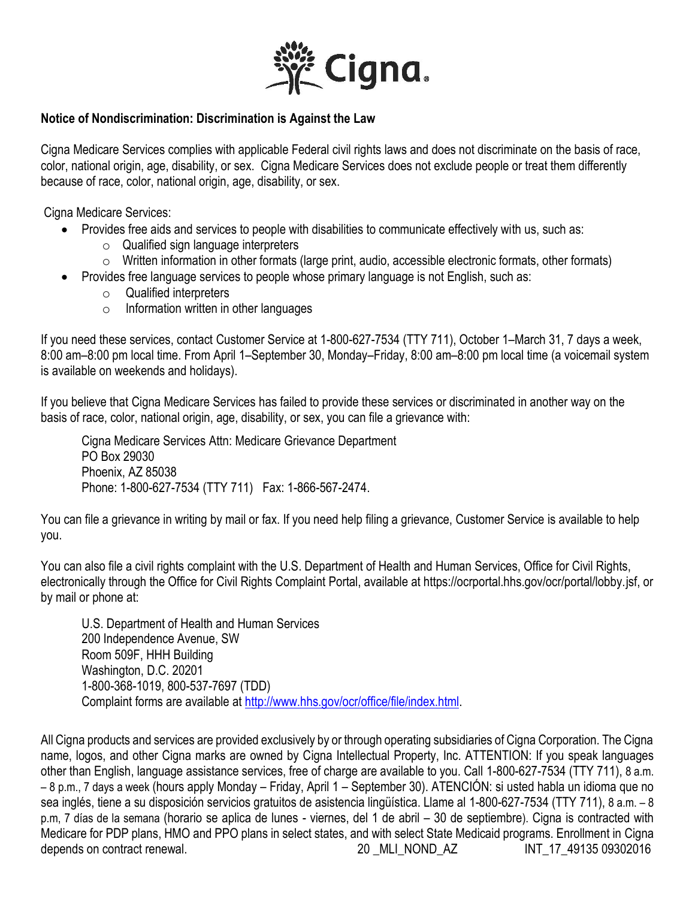

## **Notice of Nondiscrimination: Discrimination is Against the Law**

Cigna Medicare Services complies with applicable Federal civil rights laws and does not discriminate on the basis of race, color, national origin, age, disability, or sex. Cigna Medicare Services does not exclude people or treat them differently because of race, color, national origin, age, disability, or sex.

Cigna Medicare Services:

- Provides free aids and services to people with disabilities to communicate effectively with us, such as:
	- $\circ$  Qualified sign language interpreters
	- o Written information in other formats (large print, audio, accessible electronic formats, other formats)
- Provides free language services to people whose primary language is not English, such as:
	- o Qualified interpreters
	- $\circ$  Information written in other languages

If you need these services, contact Customer Service at 1-800-627-7534 (TTY 711), October 1–March 31, 7 days a week, 8:00 am–8:00 pm local time. From April 1–September 30, Monday–Friday, 8:00 am–8:00 pm local time (a voicemail system is available on weekends and holidays).

If you believe that Cigna Medicare Services has failed to provide these services or discriminated in another way on the basis of race, color, national origin, age, disability, or sex, you can file a grievance with:

Cigna Medicare Services Attn: Medicare Grievance Department PO Box 29030 Phoenix, AZ 85038 Phone: 1-800-627-7534 (TTY 711) Fax: 1-866-567-2474.

You can file a grievance in writing by mail or fax. If you need help filing a grievance, Customer Service is available to help you.

You can also file a civil rights complaint with the U.S. Department of Health and Human Services, Office for Civil Rights, electronically through the Office for Civil Rights Complaint Portal, available at https://ocrportal.hhs.gov/ocr/portal/lobby.jsf, or by mail or phone at:

U.S. Department of Health and Human Services 200 Independence Avenue, SW Room 509F, HHH Building Washington, D.C. 20201 1-800-368-1019, 800-537-7697 (TDD) Complaint forms are available at [http://www.hhs.gov/ocr/office/file/index.html.](http://www.hhs.gov/ocr/office/file/index.html)

All Cigna products and services are provided exclusively by or through operating subsidiaries of Cigna Corporation. The Cigna name, logos, and other Cigna marks are owned by Cigna Intellectual Property, Inc. ATTENTION: If you speak languages other than English, language assistance services, free of charge are available to you. Call 1-800-627-7534 (TTY 711), 8 a.m. – 8 p.m., 7 days a week (hours apply Monday – Friday, April 1 – September 30). ATENCIÓN: si usted habla un idioma que no sea inglés, tiene a su disposición servicios gratuitos de asistencia lingüística. Llame al 1-800-627-7534 (TTY 711), 8 a.m. – 8 p.m, 7 días de la semana (horario se aplica de lunes - viernes, del 1 de abril – 30 de septiembre). Cigna is contracted with Medicare for PDP plans, HMO and PPO plans in select states, and with select State Medicaid programs. Enrollment in Cigna depends on contract renewal. The contract renewal. 20 MLI\_NOND\_AZ INT\_17\_49135 09302016